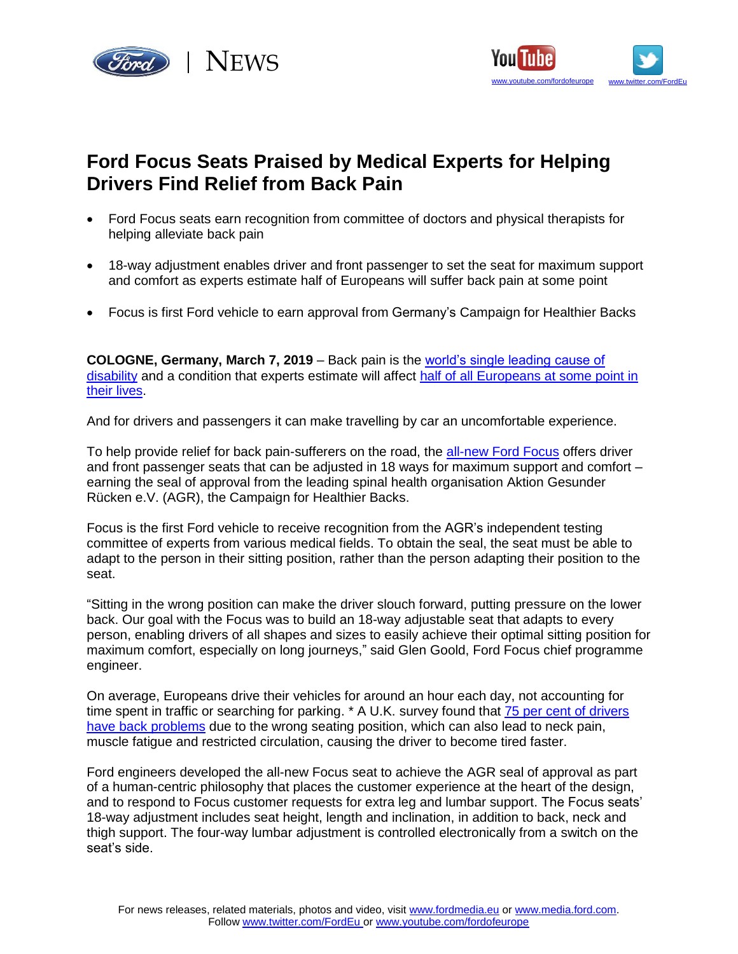



## **Ford Focus Seats Praised by Medical Experts for Helping Drivers Find Relief from Back Pain**

- Ford Focus seats earn recognition from committee of doctors and physical therapists for helping alleviate back pain
- 18-way adjustment enables driver and front passenger to set the seat for maximum support and comfort as experts estimate half of Europeans will suffer back pain at some point
- Focus is first Ford vehicle to earn approval from Germany's Campaign for Healthier Backs

**COLOGNE, Germany, March 7, 2019** – Back pain is the [world's single leading cause of](https://www.who.int/mediacentre/factsheets/musculoskeletal/en/)  [disability](https://www.who.int/mediacentre/factsheets/musculoskeletal/en/) and a condition that experts estimate will affect [half of all Europeans at some point in](https://www.businesswire.com/news/home/20170519005141/en/Societal-Impact-Pain-Costs-EU-441-Billion)  [their lives.](https://www.businesswire.com/news/home/20170519005141/en/Societal-Impact-Pain-Costs-EU-441-Billion)

And for drivers and passengers it can make travelling by car an uncomfortable experience.

To help provide relief for back pain-sufferers on the road, the [all-new Ford Focus](https://media.ford.com/content/fordmedia/feu/en/news/2018/04/10/ford-unveils-all-new-focus--most-innovative--dynamic-and-excitin.html) offers driver and front passenger seats that can be adjusted in 18 ways for maximum support and comfort  $$ earning the seal of approval from the leading spinal health organisation Aktion Gesunder Rücken e.V. (AGR), the Campaign for Healthier Backs.

Focus is the first Ford vehicle to receive recognition from the AGR's independent testing committee of experts from various medical fields. To obtain the seal, the seat must be able to adapt to the person in their sitting position, rather than the person adapting their position to the seat.

"Sitting in the wrong position can make the driver slouch forward, putting pressure on the lower back. Our goal with the Focus was to build an 18-way adjustable seat that adapts to every person, enabling drivers of all shapes and sizes to easily achieve their optimal sitting position for maximum comfort, especially on long journeys," said Glen Goold, Ford Focus chief programme engineer.

On average, Europeans drive their vehicles for around an hour each day, not accounting for time spent in traffic or searching for parking. \* A U.K. survey found that 75 per cent of drivers have [back problems](https://www.motorpoint.co.uk/motorpointpr/newsarticle/why-its-all-pain-and-no-gain-for-uk-motorists-when-it-comes-to-back-problems/497601) due to the wrong seating position, which can also lead to neck pain, muscle fatigue and restricted circulation, causing the driver to become tired faster.

Ford engineers developed the all-new Focus seat to achieve the AGR seal of approval as part of a human-centric philosophy that places the customer experience at the heart of the design, and to respond to Focus customer requests for extra leg and lumbar support. The Focus seats' 18-way adjustment includes seat height, length and inclination, in addition to back, neck and thigh support. The four-way lumbar adjustment is controlled electronically from a switch on the seat's side.